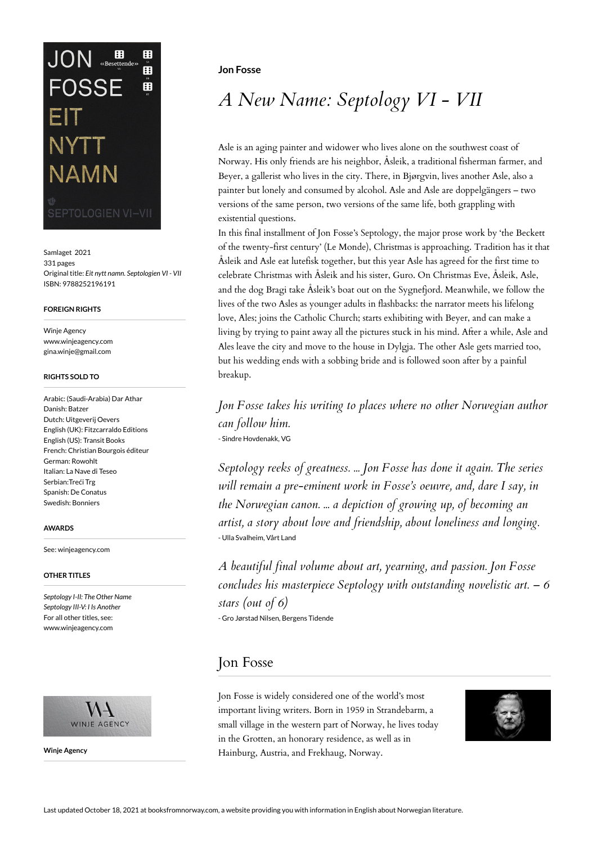# $JON$   $\mathbf{B}_{\text{esettedes}}$ H Å **FOSSE** 田 NYTT **NAMN EPTOLOGIEN VI-VII**

Samlaget 2021 331 pages Original title: *Eit nytt namn. Septologien VI - VII* ISBN: 9788252196191

#### **FOREIGN RIGHTS**

Winje Agency www.winjeagency.com gina.winje@gmail.com

### **RIGHTS SOLD TO**

Arabic: (Saudi-Arabia) Dar Athar Danish: Batzer Dutch: Uitgeverij Oevers English (UK): Fitzcarraldo Editions English (US): Transit Books French: Christian Bourgois éditeur German: Rowohlt Italian: La Nave di Teseo Serbian:Treći Trg Spanish: De Conatus Swedish: Bonniers

#### **AWARDS**

See: winjeagency.com

### **OTHER TITLES**

*Septology I-II: The Other Name Septology III-V: I Is Another* For all other titles, see: www.winjeagency.com



**Winje Agency**

### **Jon Fosse**

# *A New Name: Septology VI - VII*

Asle is an aging painter and widower who lives alone on the southwest coast of Norway. His only friends are his neighbor, Åsleik, a traditional fisherman farmer, and Beyer, a gallerist who lives in the city. There, in Bjørgvin, lives another Asle, also a painter but lonely and consumed by alcohol. Asle and Asle are doppelgängers – two versions of the same person, two versions of the same life, both grappling with existential questions.

In this final installment of Jon Fosse's Septology, the major prose work by 'the Beckett of the twenty-first century' (Le Monde), Christmas is approaching. Tradition has it that Åsleik and Asle eat lutefisk together, but this year Asle has agreed for the first time to celebrate Christmas with Åsleik and his sister, Guro. On Christmas Eve, Åsleik, Asle, and the dog Bragi take Åsleik's boat out on the Sygnefjord. Meanwhile, we follow the lives of the two Asles as younger adults in flashbacks: the narrator meets his lifelong love, Ales; joins the Catholic Church; starts exhibiting with Beyer, and can make a living by trying to paint away all the pictures stuck in his mind. After a while, Asle and Ales leave the city and move to the house in Dylgja. The other Asle gets married too, but his wedding ends with a sobbing bride and is followed soon after by a painful breakup.

*Jon Fosse takes his writing to places where no other Norwegian author can follow him.* - Sindre Hovdenakk, VG

*Septology reeks of greatness. ... Jon Fosse has done it again. The series will remain a pre-eminent work in Fosse's oeuvre, and, dare I say, in the Norwegian canon. ... a depiction of growing up, of becoming an artist, a story about love and friendship, about loneliness and longing.* - Ulla Svalheim, Vårt Land

*A beautiful final volume about art, yearning, and passion. Jon Fosse concludes his masterpiece Septology with outstanding novelistic art. – 6 stars (out of 6)* - Gro Jørstad Nilsen, Bergens Tidende

## Jon Fosse

Jon Fosse is widely considered one of the world's most important living writers. Born in 1959 in Strandebarm, a small village in the western part of Norway, he lives today in the Grotten, an honorary residence, as well as in Hainburg, Austria, and Frekhaug, Norway.